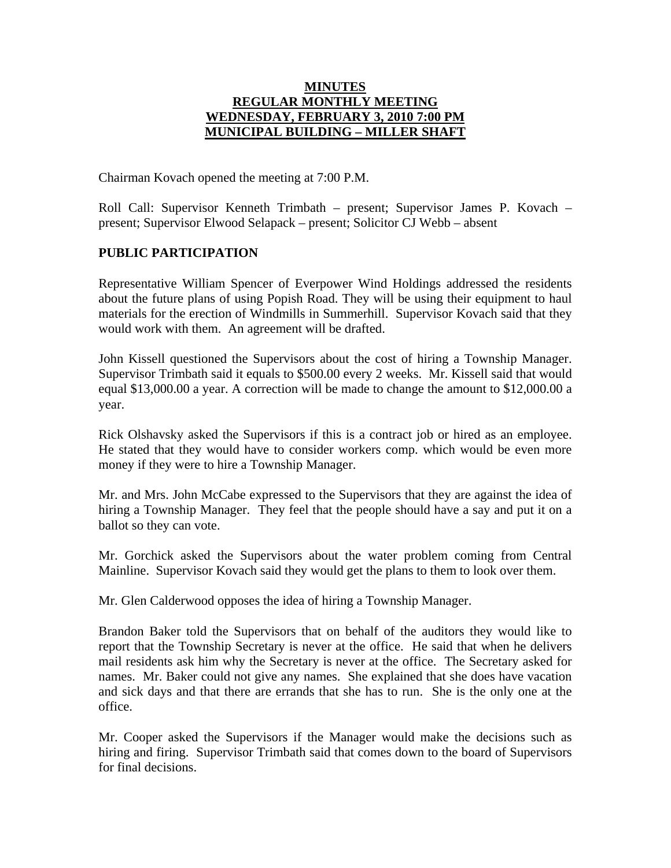#### **MINUTES REGULAR MONTHLY MEETING WEDNESDAY, FEBRUARY 3, 2010 7:00 PM MUNICIPAL BUILDING – MILLER SHAFT**

Chairman Kovach opened the meeting at 7:00 P.M.

Roll Call: Supervisor Kenneth Trimbath – present; Supervisor James P. Kovach – present; Supervisor Elwood Selapack – present; Solicitor CJ Webb – absent

## **PUBLIC PARTICIPATION**

Representative William Spencer of Everpower Wind Holdings addressed the residents about the future plans of using Popish Road. They will be using their equipment to haul materials for the erection of Windmills in Summerhill. Supervisor Kovach said that they would work with them. An agreement will be drafted.

John Kissell questioned the Supervisors about the cost of hiring a Township Manager. Supervisor Trimbath said it equals to \$500.00 every 2 weeks. Mr. Kissell said that would equal \$13,000.00 a year. A correction will be made to change the amount to \$12,000.00 a year.

Rick Olshavsky asked the Supervisors if this is a contract job or hired as an employee. He stated that they would have to consider workers comp. which would be even more money if they were to hire a Township Manager.

Mr. and Mrs. John McCabe expressed to the Supervisors that they are against the idea of hiring a Township Manager. They feel that the people should have a say and put it on a ballot so they can vote.

Mr. Gorchick asked the Supervisors about the water problem coming from Central Mainline. Supervisor Kovach said they would get the plans to them to look over them.

Mr. Glen Calderwood opposes the idea of hiring a Township Manager.

Brandon Baker told the Supervisors that on behalf of the auditors they would like to report that the Township Secretary is never at the office. He said that when he delivers mail residents ask him why the Secretary is never at the office. The Secretary asked for names. Mr. Baker could not give any names. She explained that she does have vacation and sick days and that there are errands that she has to run. She is the only one at the office.

Mr. Cooper asked the Supervisors if the Manager would make the decisions such as hiring and firing. Supervisor Trimbath said that comes down to the board of Supervisors for final decisions.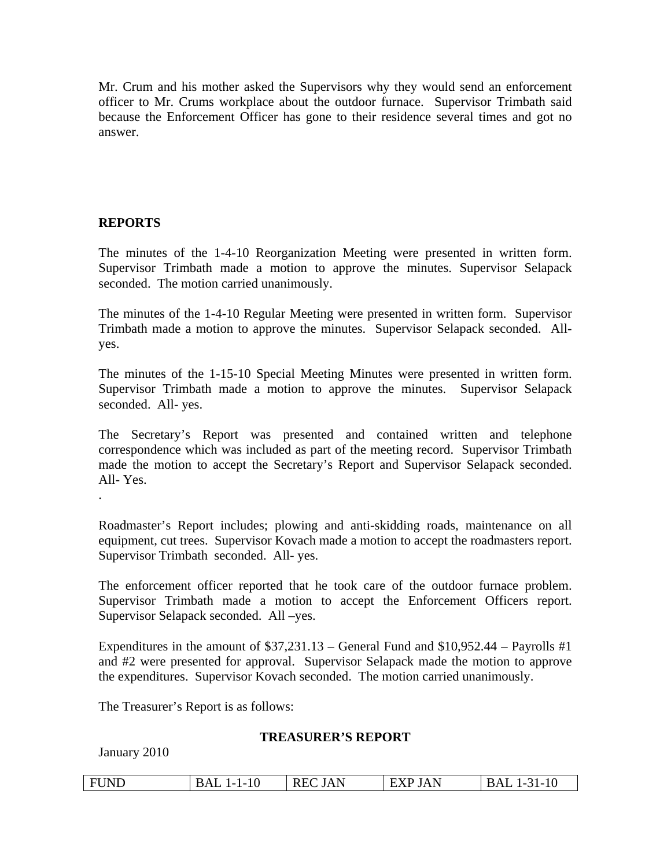Mr. Crum and his mother asked the Supervisors why they would send an enforcement officer to Mr. Crums workplace about the outdoor furnace. Supervisor Trimbath said because the Enforcement Officer has gone to their residence several times and got no answer.

# **REPORTS**

.

The minutes of the 1-4-10 Reorganization Meeting were presented in written form. Supervisor Trimbath made a motion to approve the minutes. Supervisor Selapack seconded. The motion carried unanimously.

The minutes of the 1-4-10 Regular Meeting were presented in written form. Supervisor Trimbath made a motion to approve the minutes. Supervisor Selapack seconded. Allyes.

The minutes of the 1-15-10 Special Meeting Minutes were presented in written form. Supervisor Trimbath made a motion to approve the minutes. Supervisor Selapack seconded. All- yes.

The Secretary's Report was presented and contained written and telephone correspondence which was included as part of the meeting record. Supervisor Trimbath made the motion to accept the Secretary's Report and Supervisor Selapack seconded. All- Yes.

Roadmaster's Report includes; plowing and anti-skidding roads, maintenance on all equipment, cut trees. Supervisor Kovach made a motion to accept the roadmasters report. Supervisor Trimbath seconded. All- yes.

The enforcement officer reported that he took care of the outdoor furnace problem. Supervisor Trimbath made a motion to accept the Enforcement Officers report. Supervisor Selapack seconded. All –yes.

Expenditures in the amount of  $$37,231.13$  – General Fund and  $$10,952.44$  – Payrolls #1 and #2 were presented for approval. Supervisor Selapack made the motion to approve the expenditures. Supervisor Kovach seconded. The motion carried unanimously.

The Treasurer's Report is as follows:

#### **TREASURER'S REPORT**

January 2010

| $\overline{\phantom{0}}$ | <b>FUND</b> | - BAL<br>$1 - 1 - 1$ | <b>JAN</b><br><b>REC</b> | <b>EXP JAN</b> | 31-10<br>BAL |
|--------------------------|-------------|----------------------|--------------------------|----------------|--------------|
|--------------------------|-------------|----------------------|--------------------------|----------------|--------------|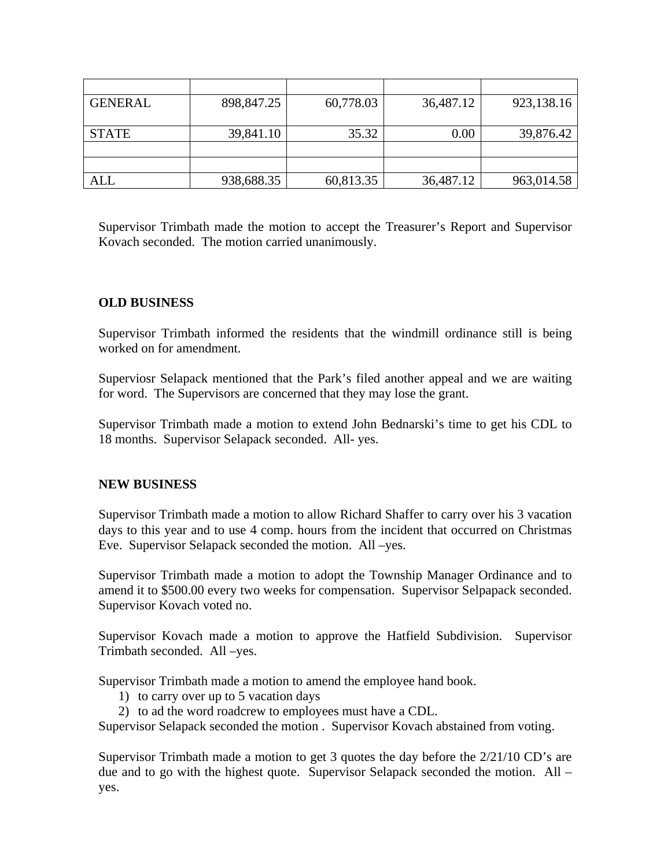| <b>GENERAL</b> | 898,847.25 | 60,778.03 | 36,487.12 | 923,138.16 |
|----------------|------------|-----------|-----------|------------|
|                |            |           |           |            |
| <b>STATE</b>   | 39,841.10  | 35.32     | 0.00      | 39,876.42  |
|                |            |           |           |            |
|                |            |           |           |            |
| <b>ALL</b>     | 938,688.35 | 60,813.35 | 36,487.12 | 963,014.58 |

Supervisor Trimbath made the motion to accept the Treasurer's Report and Supervisor Kovach seconded. The motion carried unanimously.

## **OLD BUSINESS**

Supervisor Trimbath informed the residents that the windmill ordinance still is being worked on for amendment.

Superviosr Selapack mentioned that the Park's filed another appeal and we are waiting for word. The Supervisors are concerned that they may lose the grant.

Supervisor Trimbath made a motion to extend John Bednarski's time to get his CDL to 18 months. Supervisor Selapack seconded. All- yes.

## **NEW BUSINESS**

Supervisor Trimbath made a motion to allow Richard Shaffer to carry over his 3 vacation days to this year and to use 4 comp. hours from the incident that occurred on Christmas Eve. Supervisor Selapack seconded the motion. All –yes.

Supervisor Trimbath made a motion to adopt the Township Manager Ordinance and to amend it to \$500.00 every two weeks for compensation. Supervisor Selpapack seconded. Supervisor Kovach voted no.

Supervisor Kovach made a motion to approve the Hatfield Subdivision. Supervisor Trimbath seconded. All –yes.

Supervisor Trimbath made a motion to amend the employee hand book.

- 1) to carry over up to 5 vacation days
- 2) to ad the word roadcrew to employees must have a CDL.

Supervisor Selapack seconded the motion . Supervisor Kovach abstained from voting.

Supervisor Trimbath made a motion to get 3 quotes the day before the 2/21/10 CD's are due and to go with the highest quote. Supervisor Selapack seconded the motion. All – yes.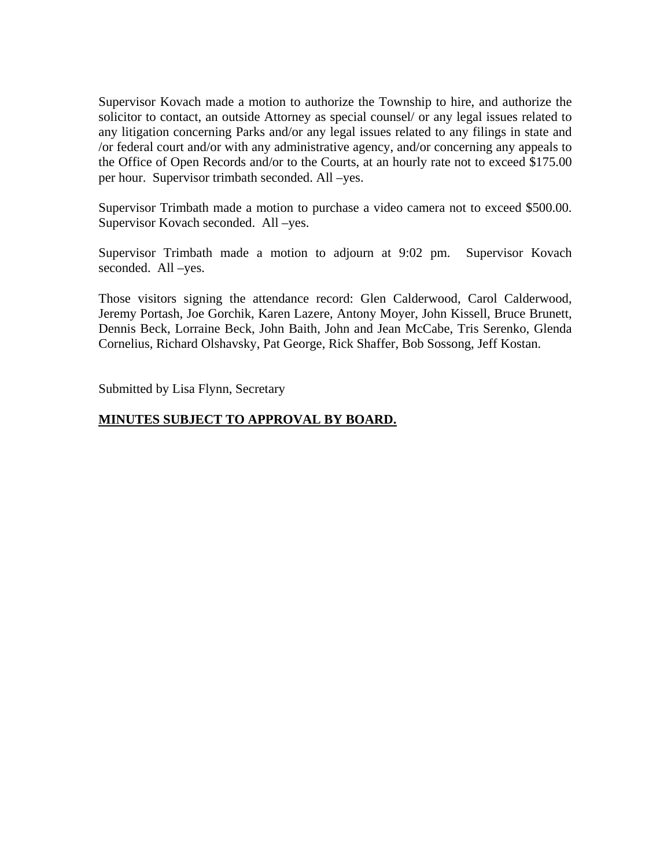Supervisor Kovach made a motion to authorize the Township to hire, and authorize the solicitor to contact, an outside Attorney as special counsel/ or any legal issues related to any litigation concerning Parks and/or any legal issues related to any filings in state and /or federal court and/or with any administrative agency, and/or concerning any appeals to the Office of Open Records and/or to the Courts, at an hourly rate not to exceed \$175.00 per hour. Supervisor trimbath seconded. All –yes.

Supervisor Trimbath made a motion to purchase a video camera not to exceed \$500.00. Supervisor Kovach seconded. All –yes.

Supervisor Trimbath made a motion to adjourn at 9:02 pm. Supervisor Kovach seconded. All –yes.

Those visitors signing the attendance record: Glen Calderwood, Carol Calderwood, Jeremy Portash, Joe Gorchik, Karen Lazere, Antony Moyer, John Kissell, Bruce Brunett, Dennis Beck, Lorraine Beck, John Baith, John and Jean McCabe, Tris Serenko, Glenda Cornelius, Richard Olshavsky, Pat George, Rick Shaffer, Bob Sossong, Jeff Kostan.

Submitted by Lisa Flynn, Secretary

#### **MINUTES SUBJECT TO APPROVAL BY BOARD.**